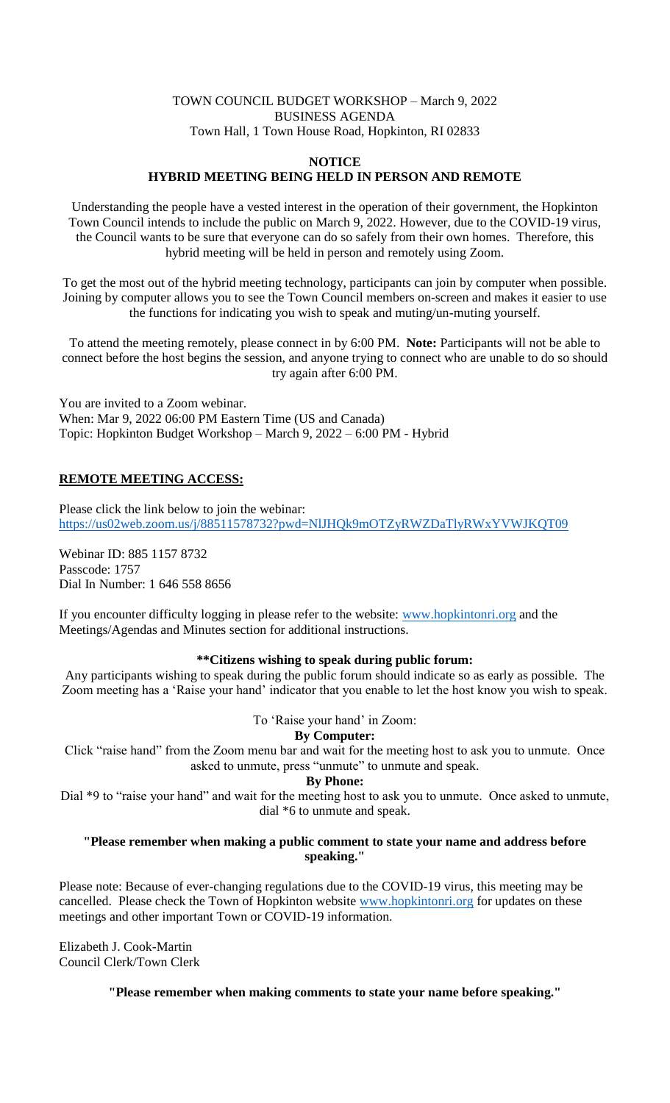### TOWN COUNCIL BUDGET WORKSHOP – March 9, 2022 BUSINESS AGENDA Town Hall, 1 Town House Road, Hopkinton, RI 02833

### **NOTICE HYBRID MEETING BEING HELD IN PERSON AND REMOTE**

Understanding the people have a vested interest in the operation of their government, the Hopkinton Town Council intends to include the public on March 9, 2022. However, due to the COVID-19 virus, the Council wants to be sure that everyone can do so safely from their own homes. Therefore, this hybrid meeting will be held in person and remotely using Zoom.

To get the most out of the hybrid meeting technology, participants can join by computer when possible. Joining by computer allows you to see the Town Council members on-screen and makes it easier to use the functions for indicating you wish to speak and muting/un-muting yourself.

To attend the meeting remotely, please connect in by 6:00 PM. **Note:** Participants will not be able to connect before the host begins the session, and anyone trying to connect who are unable to do so should try again after 6:00 PM.

You are invited to a Zoom webinar. When: Mar 9, 2022 06:00 PM Eastern Time (US and Canada) Topic: Hopkinton Budget Workshop – March 9, 2022 – 6:00 PM - Hybrid

# **REMOTE MEETING ACCESS:**

Please click the link below to join the webinar: <https://us02web.zoom.us/j/88511578732?pwd=NlJHQk9mOTZyRWZDaTlyRWxYVWJKQT09>

Webinar ID: 885 1157 8732 Passcode: 1757 Dial In Number: 1 646 558 8656

If you encounter difficulty logging in please refer to the website: [www.hopkintonri.org](http://www.hopkintonri.org/) and the Meetings/Agendas and Minutes section for additional instructions.

#### **\*\*Citizens wishing to speak during public forum:**

Any participants wishing to speak during the public forum should indicate so as early as possible. The Zoom meeting has a 'Raise your hand' indicator that you enable to let the host know you wish to speak.

To 'Raise your hand' in Zoom:

# **By Computer:**

Click "raise hand" from the Zoom menu bar and wait for the meeting host to ask you to unmute. Once asked to unmute, press "unmute" to unmute and speak.

# **By Phone:**

Dial \*9 to "raise your hand" and wait for the meeting host to ask you to unmute. Once asked to unmute, dial \*6 to unmute and speak.

### **"Please remember when making a public comment to state your name and address before speaking."**

Please note: Because of ever-changing regulations due to the COVID-19 virus, this meeting may be cancelled. Please check the Town of Hopkinton website [www.hopkintonri.org](http://www.hopkintonri.org/) for updates on these meetings and other important Town or COVID-19 information.

Elizabeth J. Cook-Martin Council Clerk/Town Clerk

**"Please remember when making comments to state your name before speaking."**